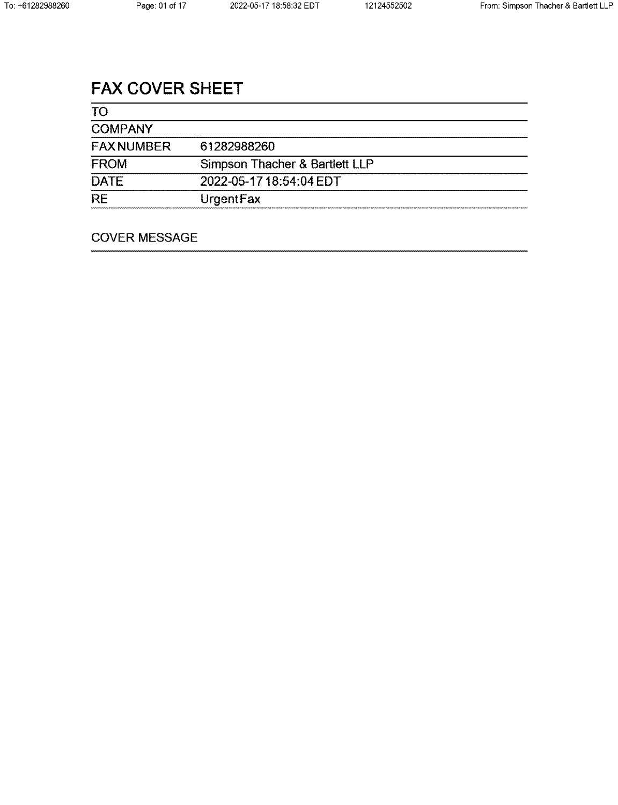# FAX COVER SHEET

| <b>TO</b>         |                                |
|-------------------|--------------------------------|
| <b>COMPANY</b>    |                                |
| <b>FAX NUMBER</b> | 61282988260                    |
| <b>FROM</b>       | Simpson Thacher & Bartlett LLP |
| <b>DATE</b>       | 2022-05-17 18:54:04 EDT        |
| <b>RE</b>         | UrgentFax                      |

## COVER MESSAGE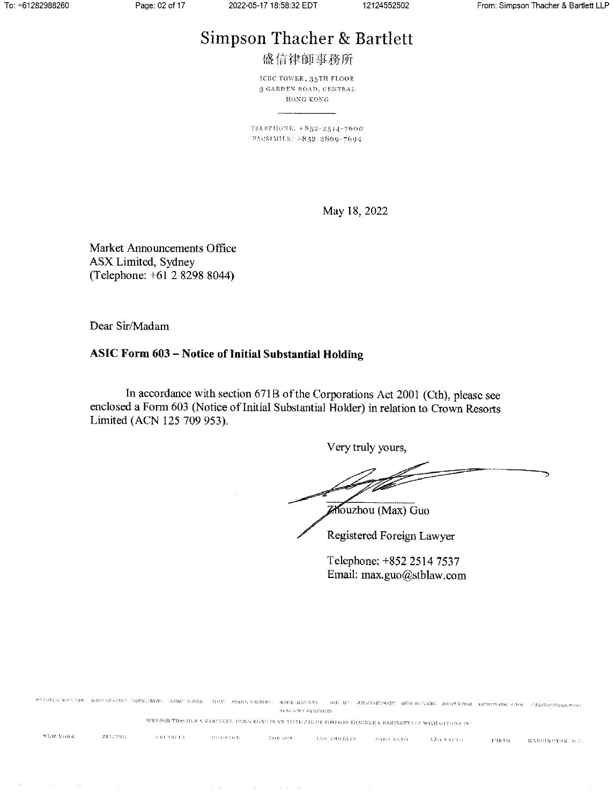# Simpson Thacher & Bartlett

盛信律師事務所

**ICBC TOWER, 35TH FLOOR** 3 GARDEN ROAD, CENTRAL HONG KONG

TELEPHONE: +852-2514-7600 FACSIMILE: +852-2869-7694

May 18, 2022

Market Announcements Office **ASX Limited, Sydney** (Telephone: +61 2 8298 8044)

Dear Sir/Madam

## ASIC Form 603 - Notice of Initial Substantial Holding

In accordance with section 671B of the Corporations Act 2001 (Cth), please see enclosed a Form 603 (Notice of Initial Substantial Holder) in relation to Crown Resorts Limited (ACN 125 709 953).

Very truly yours,

Zhouzhou (Max) Guo

Registered Foreign Lawyer

Telephone: +852 2514 7537 Email: max.guo@stblaw.com

MCLAR ACRESS NAGERATING SHECHERG ADMC ERRE THY ARMARAINEN NARRHARENGE MH RC ANABANTWAN ANDERLYSM JERUEDAR KOTONYRK CHE CHASLOPERKS MOST **REMINDED PARTNURS** SIMESON THACHURA BARTEETT, HONG KOMO IS AN ABITELITE OF SIMPSON THACHER & BARTEETT LE WITH OFFICES IN: NEW YORK  $\left\langle \text{RUMINN}\right\rangle$ **BRUSSELS MODERNIN**  $\sim 1.68\, \rm{K}$  (see Sec.  $\sim 608$  ANGELES .  $\langle \mathrm{PAB}\, \alpha \rangle \mathrm{A}\, \mathrm{G}\, \alpha$  . KÄO PAPED TORYO WASHINGTON, D.C.

 $\mathcal{F}(\mathcal{A})$  and  $\mathcal{F}(\mathcal{A})$  is a subset of the set of  $\mathcal{F}(\mathcal{A})$  , and  $\mathcal{F}(\mathcal{A})$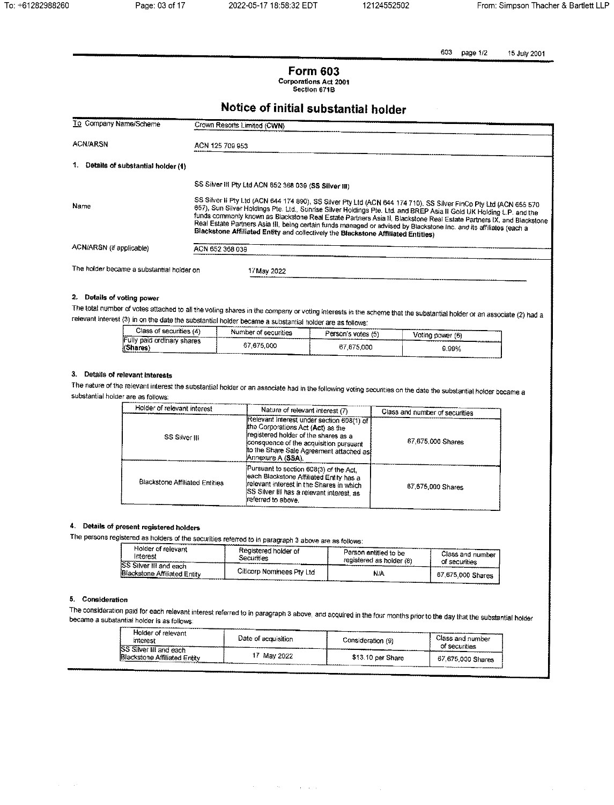603 page 1/2 15 July 2001

## **Form 603** Corporations Act 2001<br>Section 671B

## Notice of initial substantial holder

| To Gompany Name/Scheme                    | Crown Resorts Limited (CWN)                                                                                                                                                                                                                                                                                                                                                                                                                                                                                                                                                  |  |  |
|-------------------------------------------|------------------------------------------------------------------------------------------------------------------------------------------------------------------------------------------------------------------------------------------------------------------------------------------------------------------------------------------------------------------------------------------------------------------------------------------------------------------------------------------------------------------------------------------------------------------------------|--|--|
|                                           |                                                                                                                                                                                                                                                                                                                                                                                                                                                                                                                                                                              |  |  |
| <b>ACN/ARSN</b>                           | ACN 125 709 953                                                                                                                                                                                                                                                                                                                                                                                                                                                                                                                                                              |  |  |
| 1.<br>Details of substantial holder (1)   |                                                                                                                                                                                                                                                                                                                                                                                                                                                                                                                                                                              |  |  |
|                                           | SS Silver III Pty Ltd ACN 652 388 039 (SS Silver III)                                                                                                                                                                                                                                                                                                                                                                                                                                                                                                                        |  |  |
| Name                                      | SS Silver II Pty Ltd (ACN 644 174 890), SS Silver Pty Ltd (ACN 644 174 710), SS Silver FinCo Pty Ltd (ACN 655 570<br>657), Sun Silver Holdings Pte. Ltd., Sunrise Silver Holdings Pte. Ltd. and BREP Asia II Gold UK Holding L.P. and the<br>funds commonly known as Blackstone Real Estate Partners Asia II, Blackstone Real Estate Partners IX, and Blackstone<br>Real Estate Partners Asia III, being certain funds managed or advised by Blackstone Inc. and its affiliates (each a<br>Blackstone Affiliated Entity and collectively the Blackstone Affiliated Entities) |  |  |
| ACN/ARSN (if applicable)                  | ACN 652 368 039                                                                                                                                                                                                                                                                                                                                                                                                                                                                                                                                                              |  |  |
|                                           |                                                                                                                                                                                                                                                                                                                                                                                                                                                                                                                                                                              |  |  |
| The holder became a substantial holder on | 17 May 2022                                                                                                                                                                                                                                                                                                                                                                                                                                                                                                                                                                  |  |  |
|                                           |                                                                                                                                                                                                                                                                                                                                                                                                                                                                                                                                                                              |  |  |

## 2. Details of voting power

The total number of votes attached to all the voting shares in the company or voting interests in the scheme that the substantial holder or an associate (2) had a relevant interest (3) in on the date the substantial holder became a substantial holder are as follows:

| Class of securities (4)                     | Number of securities | Person's votes (5) | Voting power (6) |
|---------------------------------------------|----------------------|--------------------|------------------|
| Fully paid ordinary shares<br>(Shares)<br>. | 67.675.000           | 67.675.000         | 9.99%            |
|                                             | ,,,,,,,,,,,,,,,,,    |                    |                  |

## 3. Details of relevant interests

The nature of the relevant interest the substantial holder or an associate had in the following voting securities on the date the substantial holder became a substantial holder are as follows:

| Holder of relevant interest           | Nature of relevant interest (7)                                                                                                                                                                                                  | Class and number of securities |
|---------------------------------------|----------------------------------------------------------------------------------------------------------------------------------------------------------------------------------------------------------------------------------|--------------------------------|
| SS Silver III                         | Relevant interest under section 608(1) of<br>the Corporations Act (Act) as the<br>registered holder of the shares as a<br>consquence of the acquisition pursuant<br>to the Share Sale Agreement attached as<br>Annexure A (SSA). | 67,675,000 Shares              |
| <b>Blackstone Affiliated Entities</b> | Pursuant to section 608(3) of the Act.<br>each Blackstone Affiliated Entity has a<br>relevant interest in the Shares in which<br>ISS Silver III has a relevant interest, as<br>ireferred to above.                               | 67,675,000 Shares              |

## 4. Details of present registered holders

The persons registered as holders of the securities referred to in paragraph 3 above are as follows:

| Holder of relevant                                      | Registered holder of      | Person entitled to be    | Class and number  |
|---------------------------------------------------------|---------------------------|--------------------------|-------------------|
| Interest                                                | <b>Securities</b>         | registered as holder (8) | of securities     |
| ISS Silver III and each<br>Blackstone Affiliated Entity | Citicorp Nominees Pty Ltd | N/A                      | 67,675,000 Shares |

### 5. Consideration

The consideration paid for each relevant interest referred to in paragraph 3 above, and acquired in the four months prior to the day that the substantial holder became a substantial holder is as follows:

 $\sigma_{\rm{max}}=0.5$  , where  $\sigma_{\rm{max}}=0.1$ 

| Holder of relevant<br>interest                                     | Date of acquisition | Consideration (9) | Class and number<br>of securities |
|--------------------------------------------------------------------|---------------------|-------------------|-----------------------------------|
| <b>SS Silver III and each</b><br>Blackstone Affiliated Entity<br>. | <b>May 2022</b>     | \$13.10 per Share | 67,675,000 Shares                 |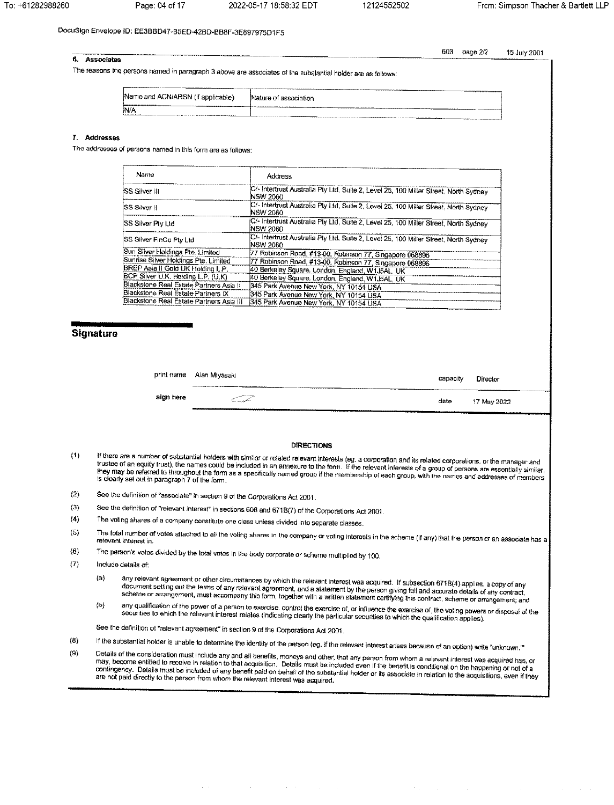603

page 2/2

15 July 2001

## DocuSign Envelope ID: EE3BBD47-B5ED-42BD-BB8F-3E897975D1F5

#### 6. Associates

The reasons the persons named in paragraph 3 above are associates of the substantial holder are as follows:

|                                   | ---------------<br><b><i><u>Property of Albany</u></i></b><br>             |  |
|-----------------------------------|----------------------------------------------------------------------------|--|
| Name and ACN/ARSN (if applicable) | Nature of<br>f association                                                 |  |
| __________<br>______________      |                                                                            |  |
| N/A                               | THE RESIDENCE OF PERSONAL PROPERTY AND INCOME.<br>--------<br><b>WAVEN</b> |  |
| <b>CARDINARDONALD COMPONENTS</b>  | <b>STATISTICS</b>                                                          |  |

## 7. Addresses

The addresses of persons named in this form are as follows:

| Name                                     | <b>Address</b>                                                                                           |
|------------------------------------------|----------------------------------------------------------------------------------------------------------|
| SS Silver III                            | C/- Intertrust Australia Pty Ltd, Suite 2, Level 25, 100 Miller Street, North Sydney<br><b>NSW 2060</b>  |
| SS Silver II                             | C/- Intertrust Australia Pty Ltd, Suite 2, Level 25, 100 Miller Street, North Sydney<br><b>NSW 2060</b>  |
| SS Silver Pty Ltd                        | C/- Intertrust Australia Pty Ltd, Suite 2, Level 25, 100 Miller Street, North Sydney<br><b>NSW 2060</b>  |
| SS Silver FinCo Pty Ltd                  | C/- Intertrust Australia Pty Ltd, Suite 2, Level 25, 100 Miller Street, North Sydney<br><b>INSW 2060</b> |
| 3un Silver Holdings Pte. Limited         | 77 Robinson Road, #13-00, Robinson 77, Singapore 068896                                                  |
| Sunrise Silver Holdings Pte, Limited     | 77 Robinson Road, #13-00, Robinson 77, Singapore 068896                                                  |
| 3REP Asia II Gold UK Holding L.P.        | 40 Berkeley Square, London, England, W1J5AL, UK                                                          |
| SCP Silver U.K. Holding L.P. (U.K)       | 40 Berkeley Square, London, England, W1J5AL, UK                                                          |
| Blackstone Real Estate Partners Asia II  | 345 Park Avenue New York, NY 10154 USA                                                                   |
| 3lackstone Real Estate Partners IX       | 345 Park Avenue New York, NY 10154 USA                                                                   |
| 3lackstone Real Estate Partners Asia III | 345 Park Avenue New York, NY 10154 USA                                                                   |
|                                          |                                                                                                          |

## Signature

|           | print name Alan Miyasaki | capacity | Director       |
|-----------|--------------------------|----------|----------------|
|           | -----                    |          | -------------- |
| sign here | C. angka                 | date     | 17 May 2022    |

#### **DIRECTIONS**

- If there are a number of substantial holders with similar or related relevant interests (eg. a corporation and its related corporations, or the manager and  $(1)$ if there are a number of substantial holders with almian or related relevant interests (eg. a corporation and its related corporations, or the manager and<br>trustee of an equity trust), the names could be included in an anne they may be referred to throughout the form as a specifically named group if the membership of each group, with the names and addresses of members is clearly set out in paragraph 7 of the form.
- $(2)$ See the definition of "associate" in section 9 of the Corporations Act 2001.
- $(3)$ See the definition of "relevant interest" in sections 608 and 671B(7) of the Corporations Act 2001.
- The voling shares of a company constitute one class unless divided into separate classes.  $(4)$
- The total number of votes attached to all the voting shares in the company or voting interests in the scheme (if any) that the person or an associate has a  $(5)$ relevant interest in.
- $(6)$ The person's votes divided by the total votes in the body corporate or scheme multiplied by 100.
- $(7)$ Include details of:
	- any relevant agreement or other circumstances by which the relevant interest was acquired. If subsection 671B(4) applies, a copy of any  $(a)$ document setting out the terms of any relevant agreement, and a statement by the person giving full and accurate details of any contract, document setting out the terms of any relevant agreement, and a statement by the per
	- any qualification of the power of a person to exercise, control the exercise of, or influence the exercise of, the voting powers or disposal of the<br>securities to which the relevant interest relates (indicating clearly the  $(b)$

See the definition of "relevant agreement" in section 9 of the Corporations Act 2001.

 $\sim 10$ 

- If the substantial holder is unable to determine the identity of the person (eg. if the relevant interest arises because of an option) write "unknown."  $(8)$
- Details of the consideration must include any and all benefits, moneys and other, that any person from whom a relevant interest was acquired has, or  $(9)$ trevels of the consideration most inside any end on sensition. Details must be included even if the benefit is conditional on the happening or not of a They, because entities to receive in research to share experience. Southern make we institute the perfection without the trapperating or not of a<br>contingency. Details must be included of any benefit paid on behalf of the s

 $\mathcal{A}=\mathcal{A}^{\mathcal{A}}$  , where  $\mathcal{A}^{\mathcal{A}}$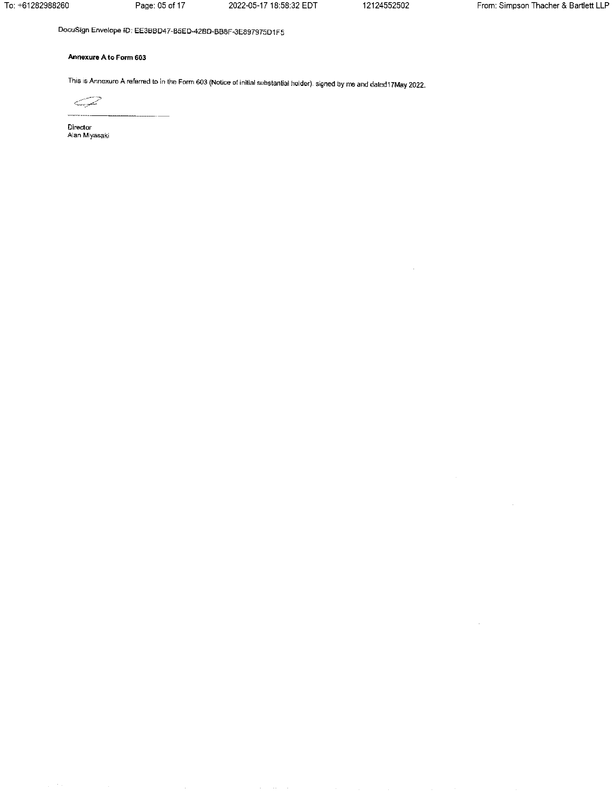To: +61282988260

Page: 05 of 17

2022-05-17 18:58:32 EDT

12124552502

 $\bar{z}$ 

 $\bar{z}$ 

DocuSign Envelope ID: EE3BBD47-B5ED-42BD-BB8F-3E897975D1F5

## Annexure A to Form 603

This is Annexure A referred to in the Form 603 (Notice of initial substantial holder), signed by me and dated17May 2022.



Director Alan Miyasaki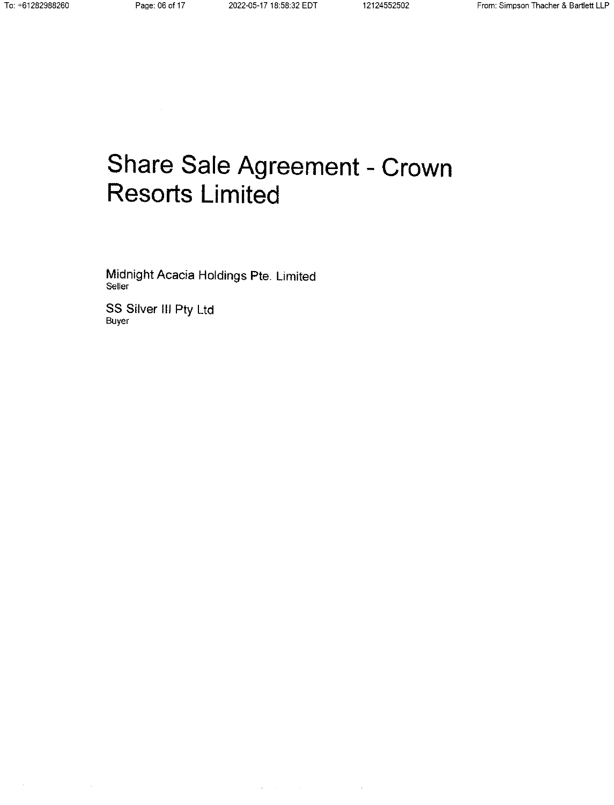# Share Sale Agreement - Crown **Resorts Limited**

Midnight Acacia Holdings Pte. Limited Seller

SS Silver III Pty Ltd Buyer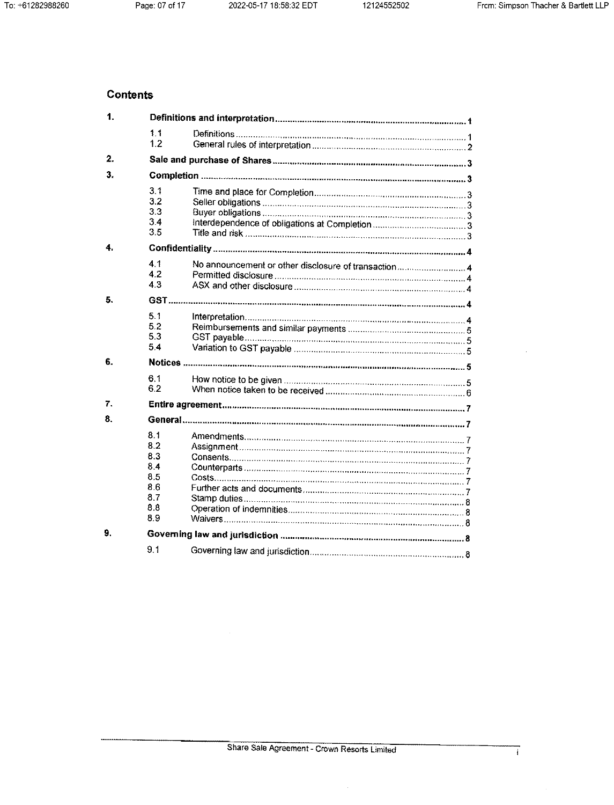## **Contents**

| $\mathbf{1}$ |                                                            |                                                      |  |  |  |
|--------------|------------------------------------------------------------|------------------------------------------------------|--|--|--|
|              | 1.1<br>1.2                                                 |                                                      |  |  |  |
| 2.           |                                                            |                                                      |  |  |  |
| 3.           |                                                            |                                                      |  |  |  |
|              | 3.1<br>3.2<br>3.3<br>3.4<br>3.5                            |                                                      |  |  |  |
| 4.           |                                                            |                                                      |  |  |  |
|              | 4.1<br>42<br>4.3                                           | No announcement or other disclosure of transaction 4 |  |  |  |
| 5.           |                                                            |                                                      |  |  |  |
|              | 5.1<br>5.2<br>5.3<br>5.4                                   |                                                      |  |  |  |
| 6.           |                                                            |                                                      |  |  |  |
|              | 6.1<br>6.2                                                 |                                                      |  |  |  |
| 7.           |                                                            |                                                      |  |  |  |
| 8.           |                                                            |                                                      |  |  |  |
|              | 8.1<br>82<br>8.3<br>8.4<br>8.5<br>8.6<br>8.7<br>8.8<br>8.9 |                                                      |  |  |  |
| 9.           |                                                            |                                                      |  |  |  |
|              | 9 <sub>1</sub>                                             |                                                      |  |  |  |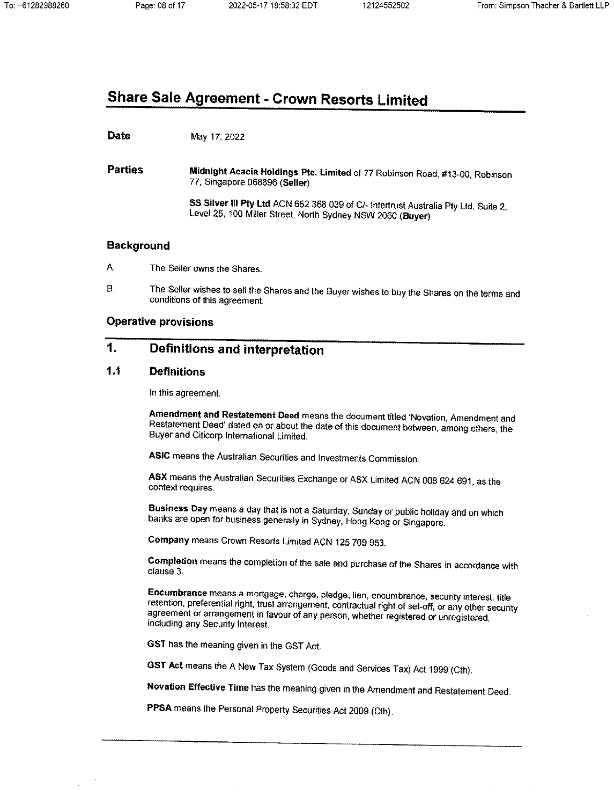# **Share Sale Agreement - Crown Resorts Limited**

#### **Date** May 17, 2022

**Parties** Midnight Acacia Holdings Pte. Limited of 77 Robinson Road, #13-00, Robinson 77, Singapore 068896 (Seller)

> SS Silver III Pty Ltd ACN 652 368 039 of C/- Intertrust Australia Pty Ltd, Suite 2, Level 25, 100 Miller Street, North Sydney NSW 2060 (Buyer)

## **Background**

- A. The Seller owns the Shares.
- Β. The Seller wishes to sell the Shares and the Buyer wishes to buy the Shares on the terms and conditions of this agreement.

## **Operative provisions**

#### 1. **Definitions and interpretation**

#### $1.1$ **Definitions**

In this agreement:

Amendment and Restatement Deed means the document titled 'Novation, Amendment and Restatement Deed' dated on or about the date of this document between, among others, the Buyer and Citicorp International Limited.

ASIC means the Australian Securities and Investments Commission.

ASX means the Australian Securities Exchange or ASX Limited ACN 008 624 691, as the context requires.

Business Day means a day that is not a Saturday, Sunday or public holiday and on which banks are open for business generally in Sydney, Hong Kong or Singapore.

Company means Crown Resorts Limited ACN 125 709 953.

Completion means the completion of the sale and purchase of the Shares in accordance with clause 3.

Encumbrance means a mortgage, charge, piedge, lien, encumbrance, security interest, title retention, preferential right, trust arrangement, contractual right of set-off, or any other security agreement or arrangement in favour of any person, whether registered or unregistered, including any Security Interest.

GST has the meaning given in the GST Act.

GST Act means the A New Tax System (Goods and Services Tax) Act 1999 (Cth).

Novation Effective Time has the meaning given in the Amendment and Restatement Deed.

PPSA means the Personal Property Securities Act 2009 (Cth).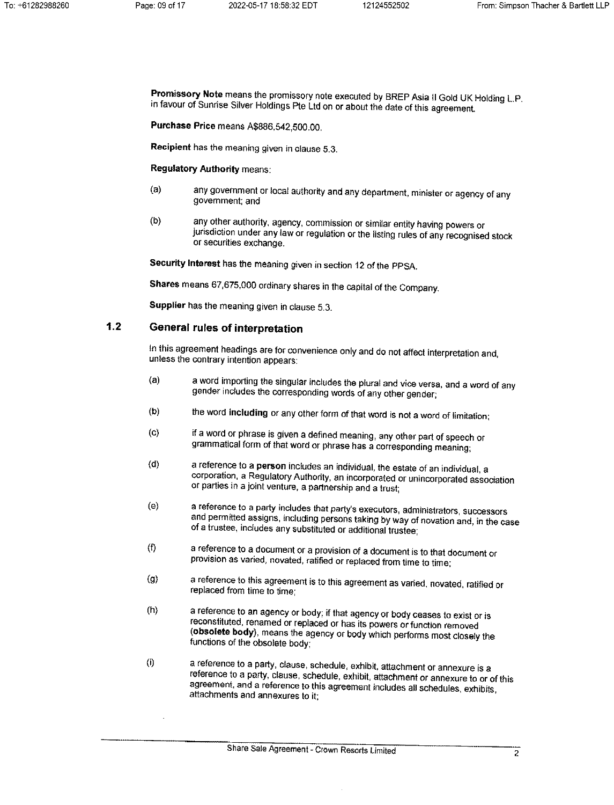Promissory Note means the promissory note executed by BREP Asia II Gold UK Holding L.P. in favour of Sunrise Silver Holdings Pte Ltd on or about the date of this agreement.

Purchase Price means A\$886,542,500.00.

Recipient has the meaning given in clause 5.3.

**Regulatory Authority means:** 

- any government or local authority and any department, minister or agency of any  $(a)$ government; and
- $(b)$ any other authority, agency, commission or similar entity having powers or jurisdiction under any law or regulation or the listing rules of any recognised stock or securities exchange.

Security Interest has the meaning given in section 12 of the PPSA.

Shares means 67,675,000 ordinary shares in the capital of the Company.

Supplier has the meaning given in clause 5.3.

#### $1.2$ General rules of interpretation

In this agreement headings are for convenience only and do not affect interpretation and, unless the contrary intention appears:

- a word importing the singular includes the plural and vice versa, and a word of any  $(a)$ gender includes the corresponding words of any other gender;
- $(b)$ the word including or any other form of that word is not a word of limitation:
- if a word or phrase is given a defined meaning, any other part of speech or  $(C)$ grammatical form of that word or phrase has a corresponding meaning;
- a reference to a person includes an individual, the estate of an individual, a  $(d)$ corporation, a Regulatory Authority, an incorporated or unincorporated association or parties in a joint venture, a partnership and a trust;
- a reference to a party includes that party's executors, administrators, successors  $(e)$ and permitted assigns, including persons taking by way of novation and, in the case of a trustee, includes any substituted or additional trustee:
- $\langle \hat{\cdot} \rangle$ a reference to a document or a provision of a document is to that document or provision as varied, novated, ratified or replaced from time to time:
- a reference to this agreement is to this agreement as varied, novated, ratified or  $\left( 9 \right)$ replaced from time to time:
- a reference to an agency or body; if that agency or body ceases to exist or is  $(h)$ reconstituted, renamed or replaced or has its powers or function removed (obsolete body), means the agency or body which performs most closely the functions of the obsolete body;
- $(i)$ a reference to a party, clause, schedule, exhibit, attachment or annexure is a reference to a party, clause, schedule, exhibit, attachment or annexure to or of this agreement, and a reference to this agreement includes all schedules, exhibits, attachments and annexures to it: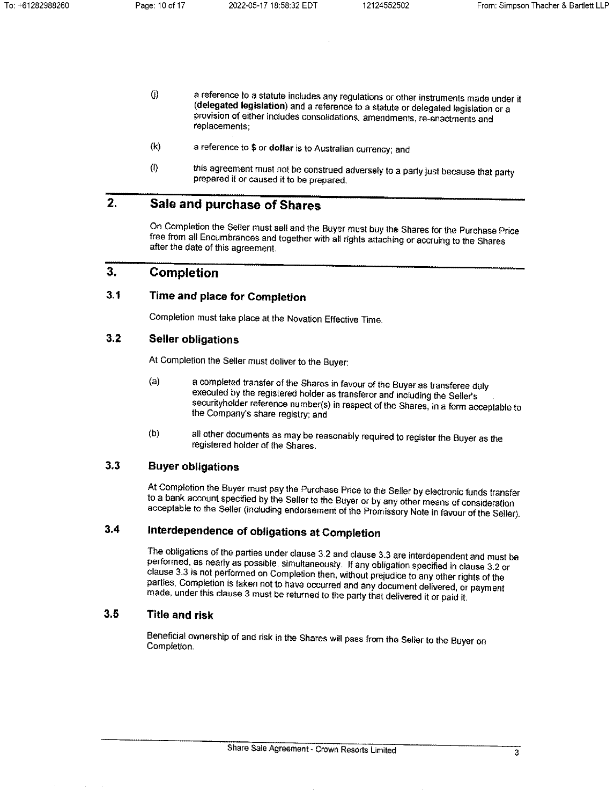- $\langle$ j a reference to a statute includes any regulations or other instruments made under it (delegated legislation) and a reference to a statute or delegated legislation or a provision of either includes consolidations, amendments, re-enactments and replacements;
- $(k)$ a reference to \$ or dollar is to Australian currency; and
- this agreement must not be construed adversely to a party just because that party  $\langle$ l) prepared it or caused it to be prepared.

#### $2.$ Sale and purchase of Shares

On Completion the Seller must sell and the Buyer must buy the Shares for the Purchase Price free from all Encumbrances and together with all rights attaching or accruing to the Shares after the date of this agreement.

#### $3.$ Completion

#### $3.1$ Time and place for Completion

Completion must take place at the Novation Effective Time.

#### $3.2$ **Seller obligations**

At Completion the Seller must deliver to the Buyer:

- a completed transfer of the Shares in favour of the Buyer as transferee duly  $(a)$ executed by the registered holder as transferor and including the Seller's securityholder reference number(s) in respect of the Shares, in a form acceptable to the Company's share registry; and
- all other documents as may be reasonably required to register the Buyer as the  $(b)$ registered holder of the Shares.

#### $3.3$ **Buyer obligations**

At Completion the Buyer must pay the Purchase Price to the Seller by electronic funds transfer to a bank account specified by the Seller to the Buyer or by any other means of consideration acceptable to the Seller (including endorsement of the Promissory Note in favour of the Seller).

#### $3.4$ Interdependence of obligations at Completion

The obligations of the parties under clause 3.2 and clause 3.3 are interdependent and must be performed, as nearly as possible, simultaneously. If any obligation specified in clause 3.2 or clause 3.3 is not performed on Completion then, without prejudice to any other rights of the parties, Completion is taken not to have occurred and any document delivered, or payment made, under this clause 3 must be returned to the party that delivered it or paid it.

#### $3.5$ **Title and risk**

Beneficial ownership of and risk in the Shares will pass from the Seller to the Buyer on Completion.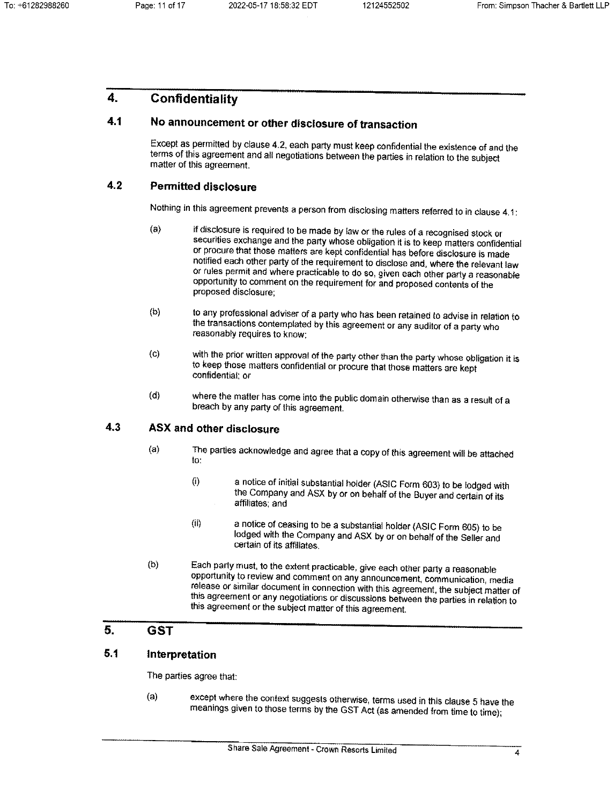#### $\mathbf{A}$ Confidentiality

#### $4.1$ No announcement or other disclosure of transaction

Except as permitted by clause 4.2, each party must keep confidential the existence of and the terms of this agreement and all negotiations between the parties in relation to the subject matter of this agreement.

#### $4.2$ **Permitted disclosure**

Nothing in this agreement prevents a person from disclosing matters referred to in clause 4.1:

- $(a)$ if disclosure is required to be made by law or the rules of a recognised stock or securities exchange and the party whose obligation it is to keep matters confidential or procure that those matters are kept confidential has before disclosure is made notified each other party of the requirement to disclose and, where the relevant law or rules permit and where practicable to do so, given each other party a reasonable opportunity to comment on the requirement for and proposed contents of the proposed disclosure:
- $(b)$ to any professional adviser of a party who has been retained to advise in relation to the transactions contemplated by this agreement or any auditor of a party who reasonably requires to know:
- with the prior written approval of the party other than the party whose obligation it is  $(c)$ to keep those matters confidential or procure that those matters are kept confidential: or
- $(d)$ where the matter has come into the public domain otherwise than as a result of a breach by any party of this agreement.

#### **ASX and other disclosure** 4.3

- The parties acknowledge and agree that a copy of this agreement will be attached  $(a)$ to.
	- $(i)$ a notice of initial substantial holder (ASIC Form 603) to be lodged with the Company and ASX by or on behalf of the Buyer and certain of its affiliates; and
	- a notice of ceasing to be a substantial holder (ASIC Form 605) to be  $(i)$ lodged with the Company and ASX by or on behalf of the Seller and certain of its affiliates.
- Each party must, to the extent practicable, give each other party a reasonable  $(b)$ opportunity to review and comment on any announcement, communication, media release or similar document in connection with this agreement, the subject matter of this agreement or any negotiations or discussions between the parties in relation to this agreement or the subject matter of this agreement.

#### 5. **GST**

#### $5.1$ Interpretation

The parties agree that:

except where the context suggests otherwise, terms used in this clause 5 have the  $(a)$ meanings given to those terms by the GST Act (as amended from time to time);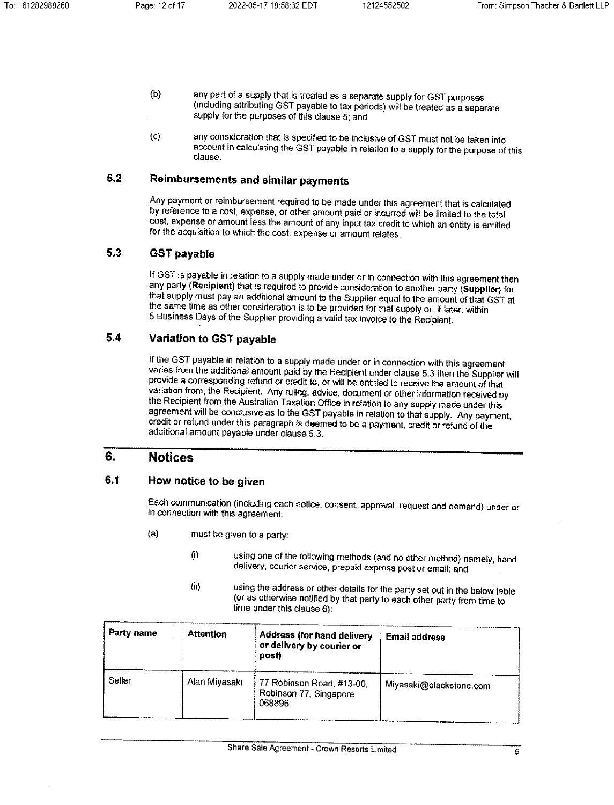- $(b)$ any part of a supply that is treated as a separate supply for GST purposes (including attributing GST payable to tax periods) will be treated as a separate supply for the purposes of this clause 5; and
- any consideration that is specified to be inclusive of GST must not be taken into  $(G)$ account in calculating the GST payable in relation to a supply for the purpose of this clause.

#### $5.2$ Reimbursements and similar payments

Any payment or reimbursement required to be made under this agreement that is calculated by reference to a cost, expense, or other amount paid or incurred will be limited to the total cost, expense or amount less the amount of any input tax credit to which an entity is entitled for the acquisition to which the cost, expense or amount relates.

#### $5.3$ **GST pavable**

If GST is payable in relation to a supply made under or in connection with this agreement then any party (Recipient) that is required to provide consideration to another party (Supplier) for that supply must pay an additional amount to the Supplier equal to the amount of that GST at the same time as other consideration is to be provided for that supply or, if later, within 5 Business Days of the Supplier providing a valid tax invoice to the Recipient.

#### $5.4$ Variation to GST payable

If the GST payable in relation to a supply made under or in connection with this agreement varies from the additional amount paid by the Recipient under clause 5.3 then the Supplier will provide a corresponding refund or credit to, or will be entitled to receive the amount of that variation from, the Recipient. Any ruling, advice, document or other information received by the Recipient from the Australian Taxation Office in relation to any supply made under this agreement will be conclusive as to the GST payable in relation to that supply. Any payment, credit or refund under this paragraph is deemed to be a payment, credit or refund of the additional amount payable under clause 5.3.

#### 6. **Notices**

#### $6.1$ How notice to be given

Each communication (including each notice, consent, approval, request and demand) under or in connection with this agreement:

- $(a)$ must be given to a party:
	- using one of the following methods (and no other method) namely, hand  $\langle i \rangle$ delivery, courier service, prepaid express post or email; and
	- $(ii)$ using the address or other details for the party set out in the below table (or as otherwise notified by that party to each other party from time to time under this clause  $6$ ):

| <b>Party name</b> | <b>Attention</b> | <b>Address (for hand delivery</b><br>or delivery by courier or<br>post) | <b>Email address</b>    |
|-------------------|------------------|-------------------------------------------------------------------------|-------------------------|
| Seller            | Alan Miyasaki    | 77 Robinson Road, #13-00,<br>Robinson 77, Singapore<br>068896           | Miyasaki@blackstone.com |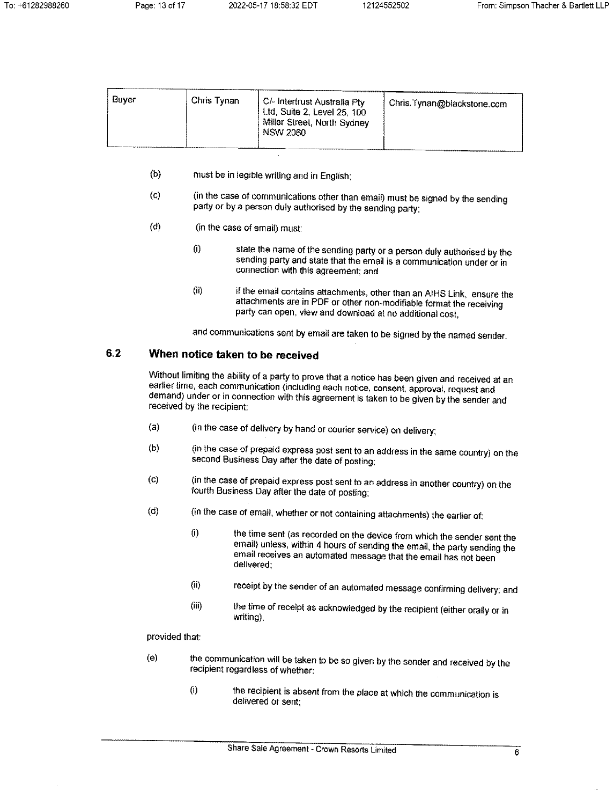| Buver | Chris Tynan | ∣ C/- Intertrust Australia Pty<br>, Ltd, Suite 2, Level 25, 100<br>Miller Street, North Sydney<br><b>NSW 2060</b> | Chris.Tynan@blackstone.com |
|-------|-------------|-------------------------------------------------------------------------------------------------------------------|----------------------------|
|       |             |                                                                                                                   |                            |

- $(b)$ must be in legible writing and in English:
- (in the case of communications other than email) must be signed by the sending  $(G)$ party or by a person duly authorised by the sending party;
- $(d)$ (in the case of email) must:
	- state the name of the sending party or a person duly authorised by the  $(i)$ sending party and state that the email is a communication under or in connection with this agreement; and
	- $(i)$ if the email contains attachments, other than an AIHS Link, ensure the attachments are in PDF or other non-modifiable format the receiving party can open, view and download at no additional cost,

and communications sent by email are taken to be signed by the named sender.

#### $6.2$ When notice taken to be received

Without limiting the ability of a party to prove that a notice has been given and received at an earlier time, each communication (including each notice, consent, approval, request and demand) under or in connection with this agreement is taken to be given by the sender and received by the recipient:

- (in the case of delivery by hand or courier service) on delivery;  $(a)$
- (in the case of prepaid express post sent to an address in the same country) on the  $(b)$ second Business Day after the date of posting;
- (in the case of prepaid express post sent to an address in another country) on the  $(c)$ fourth Business Day after the date of posting:
- $(d)$ (in the case of email, whether or not containing attachments) the earlier of:
	- the time sent (as recorded on the device from which the sender sent the  $(i)$ email) unless, within 4 hours of sending the email, the party sending the email receives an automated message that the email has not been delivered:
	- $(i)$ receipt by the sender of an automated message confirming delivery; and
	- $(iii)$ the time of receipt as acknowledged by the recipient (either orally or in writing),

## provided that:

- the communication will be taken to be so given by the sender and received by the  $(e)$ recipient regardless of whether:
	- the recipient is absent from the place at which the communication is  $(i)$ delivered or sent: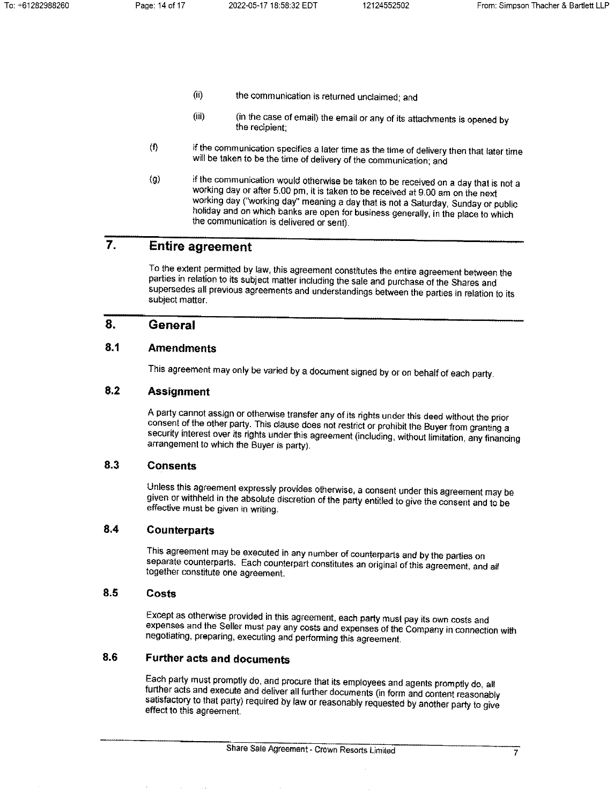- $(ii)$ the communication is returned unclaimed; and
- $(iii)$ (in the case of email) the email or any of its attachments is opened by the recipient;
- $(f)$ if the communication specifies a later time as the time of delivery then that later time will be taken to be the time of delivery of the communication; and
- if the communication would otherwise be taken to be received on a day that is not a  $(g)$ working day or after 5.00 pm, it is taken to be received at 9.00 am on the next working day ("working day" meaning a day that is not a Saturday, Sunday or public holiday and on which banks are open for business generally, in the place to which the communication is delivered or sent).

#### $\overline{7}$ . **Entire agreement**

To the extent permitted by law, this agreement constitutes the entire agreement between the parties in relation to its subject matter including the sale and purchase of the Shares and supersedes all previous agreements and understandings between the parties in relation to its subject matter.

#### 8. General

#### $8.1$ **Amendments**

This agreement may only be varied by a document signed by or on behalf of each party.

#### $8.2$ **Assignment**

A party cannot assign or otherwise transfer any of its rights under this deed without the prior consent of the other party. This clause does not restrict or prohibit the Buyer from granting a security interest over its rights under this agreement (including, without limitation, any financing arrangement to which the Buyer is party).

#### 8.3 **Consents**

Unless this agreement expressly provides otherwise, a consent under this agreement may be given or withheld in the absolute discretion of the party entitled to give the consent and to be effective must be given in writing.

#### $8,4$ **Counterparts**

This agreement may be executed in any number of counterparts and by the parties on separate counterparts. Each counterpart constitutes an original of this agreement, and all together constitute one agreement.

#### 8.5 Costs

Except as otherwise provided in this agreement, each party must pay its own costs and expenses and the Seller must pay any costs and expenses of the Company in connection with negotiating, preparing, executing and performing this agreement.

#### 8.6 **Further acts and documents**

Each party must promptly do, and procure that its employees and agents promptly do, all further acts and execute and deliver all further documents (in form and content reasonably satisfactory to that party) required by law or reasonably requested by another party to give effect to this agreement.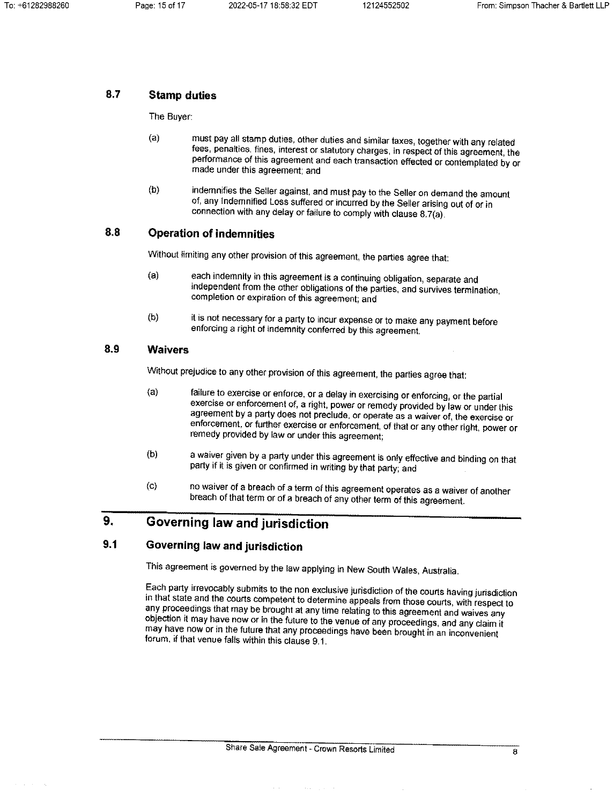#### 8.7 **Stamp duties**

The Buyer:

- $(a)$ must pay all stamp duties, other duties and similar taxes, together with any related fees, penalties, fines, interest or statutory charges, in respect of this agreement, the performance of this agreement and each transaction effected or contemplated by or made under this agreement; and
- indemnifies the Seller against, and must pay to the Seller on demand the amount  $(b)$ of, any Indemnified Loss suffered or incurred by the Seller arising out of or in connection with any delay or failure to comply with clause 8.7(a).

#### 8.8 **Operation of indemnities**

Without limiting any other provision of this agreement, the parties agree that:

- each indemnity in this agreement is a continuing obligation, separate and  $(a)$ independent from the other obligations of the parties, and survives termination, completion or expiration of this agreement; and
- $(b)$ it is not necessary for a party to incur expense or to make any payment before enforcing a right of indemnity conferred by this agreement.

#### 8.9 **Waivers**

Without prejudice to any other provision of this agreement, the parties agree that:

- failure to exercise or enforce, or a delay in exercising or enforcing, or the partial  $(a)$ exercise or enforcement of, a right, power or remedy provided by law or under this agreement by a party does not preclude, or operate as a waiver of, the exercise or enforcement, or further exercise or enforcement, of that or any other right, power or remedy provided by law or under this agreement;
- a waiver given by a party under this agreement is only effective and binding on that  $(b)$ party if it is given or confirmed in writing by that party; and
- no waiver of a breach of a term of this agreement operates as a waiver of another  $\left( \text{c} \right)$ breach of that term or of a breach of any other term of this agreement.

#### 9. Governing law and jurisdiction

#### $9.1$ Governing law and jurisdiction

This agreement is governed by the law applying in New South Wales, Australia.

Each party irrevocably submits to the non exclusive jurisdiction of the courts having jurisdiction in that state and the courts competent to determine appeals from those courts, with respect to any proceedings that may be brought at any time relating to this agreement and waives any objection it may have now or in the future to the venue of any proceedings, and any claim it may have now or in the future that any proceedings have been brought in an inconvenient forum, if that venue falls within this clause 9.1.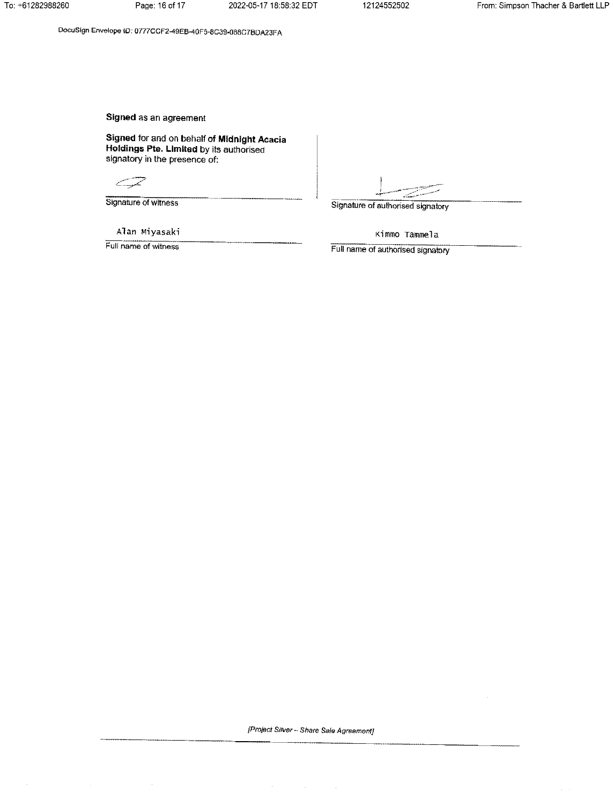DocuSign Envelope ID: 0777CCF2-49EB-40F5-8C39-088C7BDA23FA

Signed as an agreement

Signed for and on behalf of Midnight Acacia Holdings Pte. Limited by its authorised signatory in the presence of:

CIL de la Carta de la Carta de la Carta de la Carta de la Carta de la Carta de la Carta de la Carta de la Carta de la Carta de la Carta de la Carta de la Carta de la Carta de la Carta de la Carta de la Carta de la Carta de

Signature of witness

Alan Miyasaki

Full name of witness

Signature of authorised signatory

Kimmo Tammela

Full name of authorised signatory

[Project Silver - Share Sale Agreement]

 $\sim 10^{-11}$